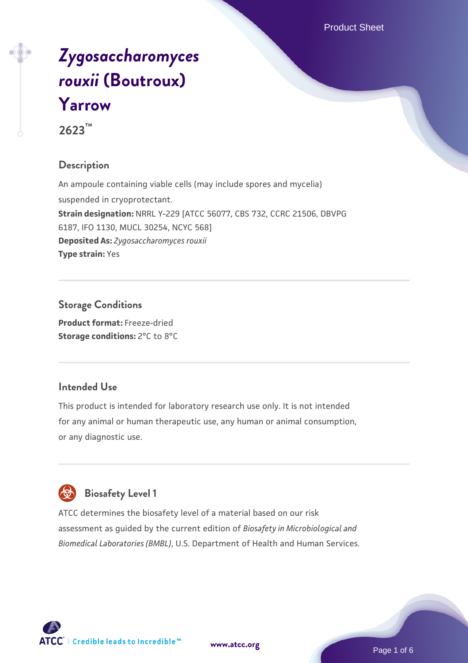# *[Zygosaccharomyces](https://www.atcc.org/products/2623) [rouxii](https://www.atcc.org/products/2623)* **[\(Boutroux\)](https://www.atcc.org/products/2623) [Yarrow](https://www.atcc.org/products/2623)**

**2623™**

## **Description**

An ampoule containing viable cells (may include spores and mycelia) suspended in cryoprotectant. **Strain designation:** NRRL Y-229 [ATCC 56077, CBS 732, CCRC 21506, DBVPG 6187, IFO 1130, MUCL 30254, NCYC 568] **Deposited As:** *Zygosaccharomyces rouxii* **Type strain:** Yes

## **Storage Conditions**

**Product format:** Freeze-dried **Storage conditions:** 2°C to 8°C

## **Intended Use**

This product is intended for laboratory research use only. It is not intended for any animal or human therapeutic use, any human or animal consumption, or any diagnostic use.

## **Biosafety Level 1**

ATCC determines the biosafety level of a material based on our risk assessment as guided by the current edition of *Biosafety in Microbiological and Biomedical Laboratories (BMBL)*, U.S. Department of Health and Human Services.

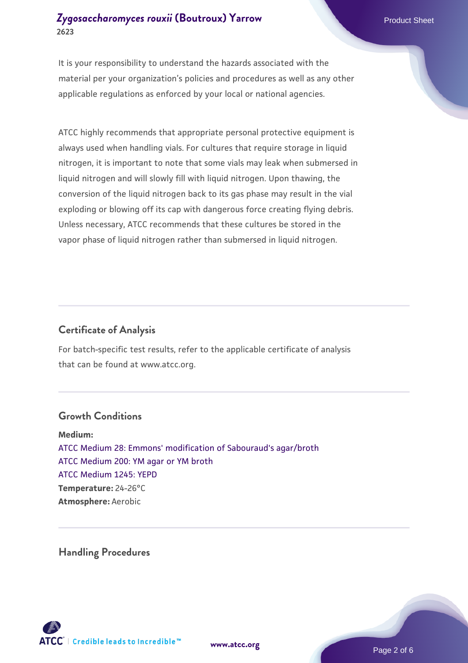It is your responsibility to understand the hazards associated with the material per your organization's policies and procedures as well as any other applicable regulations as enforced by your local or national agencies.

ATCC highly recommends that appropriate personal protective equipment is always used when handling vials. For cultures that require storage in liquid nitrogen, it is important to note that some vials may leak when submersed in liquid nitrogen and will slowly fill with liquid nitrogen. Upon thawing, the conversion of the liquid nitrogen back to its gas phase may result in the vial exploding or blowing off its cap with dangerous force creating flying debris. Unless necessary, ATCC recommends that these cultures be stored in the vapor phase of liquid nitrogen rather than submersed in liquid nitrogen.

## **Certificate of Analysis**

For batch-specific test results, refer to the applicable certificate of analysis that can be found at www.atcc.org.

#### **Growth Conditions**

**Medium:**  [ATCC Medium 28: Emmons' modification of Sabouraud's agar/broth](https://www.atcc.org/-/media/product-assets/documents/microbial-media-formulations/2/8/atcc-medium-28.pdf?rev=0da0c58cc2a343eeae735016b70809bb) [ATCC Medium 200: YM agar or YM broth](https://www.atcc.org/-/media/product-assets/documents/microbial-media-formulations/2/0/0/atcc-medium-200.pdf?rev=ac40fd74dc13433a809367b0b9da30fc) [ATCC Medium 1245: YEPD](https://www.atcc.org/-/media/product-assets/documents/microbial-media-formulations/1/2/4/5/atcc-medium-1245.pdf?rev=705ca55d1b6f490a808a965d5c072196) **Temperature:** 24-26°C **Atmosphere:** Aerobic

**Handling Procedures**



**[www.atcc.org](http://www.atcc.org)**

Page 2 of 6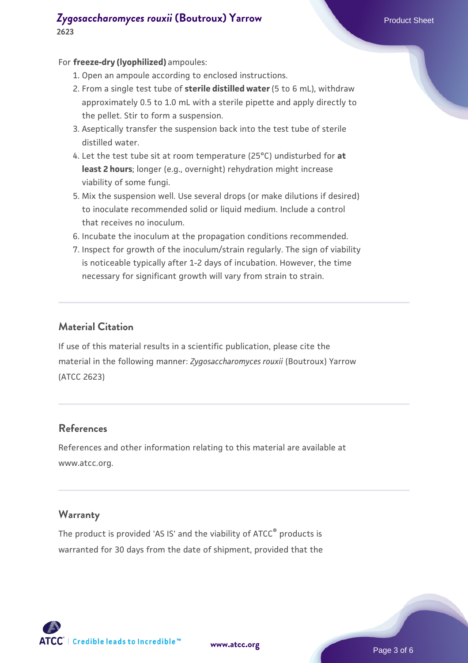#### For **freeze-dry (lyophilized)** ampoules:

- 1. Open an ampoule according to enclosed instructions.
- 2. From a single test tube of **sterile distilled water** (5 to 6 mL), withdraw approximately 0.5 to 1.0 mL with a sterile pipette and apply directly to the pellet. Stir to form a suspension.
- 3. Aseptically transfer the suspension back into the test tube of sterile distilled water.
- Let the test tube sit at room temperature (25°C) undisturbed for **at** 4. **least 2 hours**; longer (e.g., overnight) rehydration might increase viability of some fungi.
- Mix the suspension well. Use several drops (or make dilutions if desired) 5. to inoculate recommended solid or liquid medium. Include a control that receives no inoculum.
- 6. Incubate the inoculum at the propagation conditions recommended.
- 7. Inspect for growth of the inoculum/strain regularly. The sign of viability is noticeable typically after 1-2 days of incubation. However, the time necessary for significant growth will vary from strain to strain.

### **Material Citation**

If use of this material results in a scientific publication, please cite the material in the following manner: *Zygosaccharomyces rouxii* (Boutroux) Yarrow (ATCC 2623)

## **References**

References and other information relating to this material are available at www.atcc.org.

#### **Warranty**

The product is provided 'AS IS' and the viability of ATCC® products is warranted for 30 days from the date of shipment, provided that the

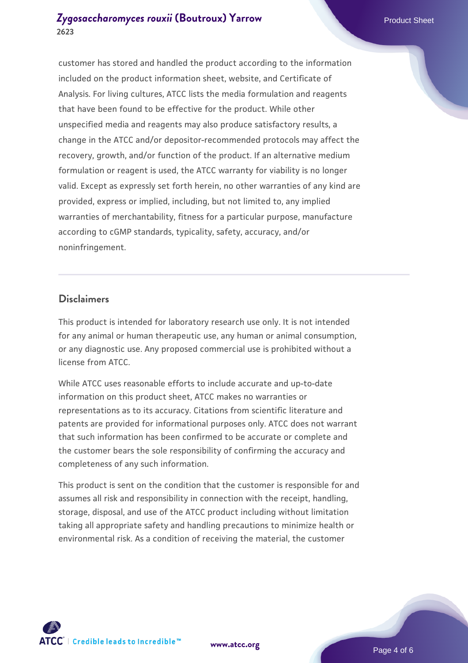customer has stored and handled the product according to the information included on the product information sheet, website, and Certificate of Analysis. For living cultures, ATCC lists the media formulation and reagents that have been found to be effective for the product. While other unspecified media and reagents may also produce satisfactory results, a change in the ATCC and/or depositor-recommended protocols may affect the recovery, growth, and/or function of the product. If an alternative medium formulation or reagent is used, the ATCC warranty for viability is no longer valid. Except as expressly set forth herein, no other warranties of any kind are provided, express or implied, including, but not limited to, any implied warranties of merchantability, fitness for a particular purpose, manufacture according to cGMP standards, typicality, safety, accuracy, and/or noninfringement.

#### **Disclaimers**

This product is intended for laboratory research use only. It is not intended for any animal or human therapeutic use, any human or animal consumption, or any diagnostic use. Any proposed commercial use is prohibited without a license from ATCC.

While ATCC uses reasonable efforts to include accurate and up-to-date information on this product sheet, ATCC makes no warranties or representations as to its accuracy. Citations from scientific literature and patents are provided for informational purposes only. ATCC does not warrant that such information has been confirmed to be accurate or complete and the customer bears the sole responsibility of confirming the accuracy and completeness of any such information.

This product is sent on the condition that the customer is responsible for and assumes all risk and responsibility in connection with the receipt, handling, storage, disposal, and use of the ATCC product including without limitation taking all appropriate safety and handling precautions to minimize health or environmental risk. As a condition of receiving the material, the customer



**[www.atcc.org](http://www.atcc.org)**

Page 4 of 6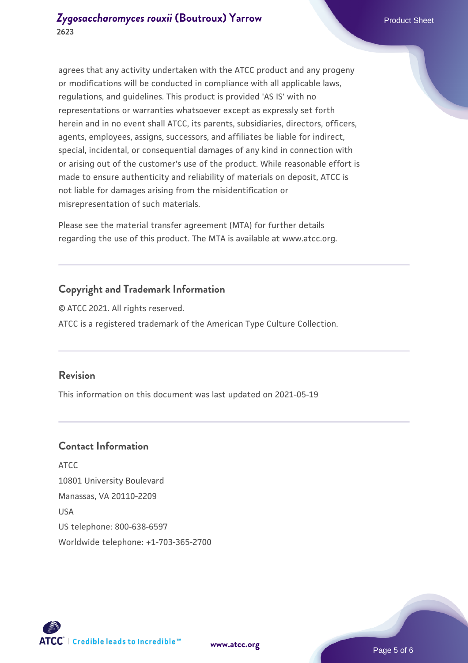agrees that any activity undertaken with the ATCC product and any progeny or modifications will be conducted in compliance with all applicable laws, regulations, and guidelines. This product is provided 'AS IS' with no representations or warranties whatsoever except as expressly set forth herein and in no event shall ATCC, its parents, subsidiaries, directors, officers, agents, employees, assigns, successors, and affiliates be liable for indirect, special, incidental, or consequential damages of any kind in connection with or arising out of the customer's use of the product. While reasonable effort is made to ensure authenticity and reliability of materials on deposit, ATCC is not liable for damages arising from the misidentification or misrepresentation of such materials.

Please see the material transfer agreement (MTA) for further details regarding the use of this product. The MTA is available at www.atcc.org.

## **Copyright and Trademark Information**

© ATCC 2021. All rights reserved. ATCC is a registered trademark of the American Type Culture Collection.

## **Revision**

This information on this document was last updated on 2021-05-19

## **Contact Information**

ATCC 10801 University Boulevard Manassas, VA 20110-2209 USA US telephone: 800-638-6597 Worldwide telephone: +1-703-365-2700